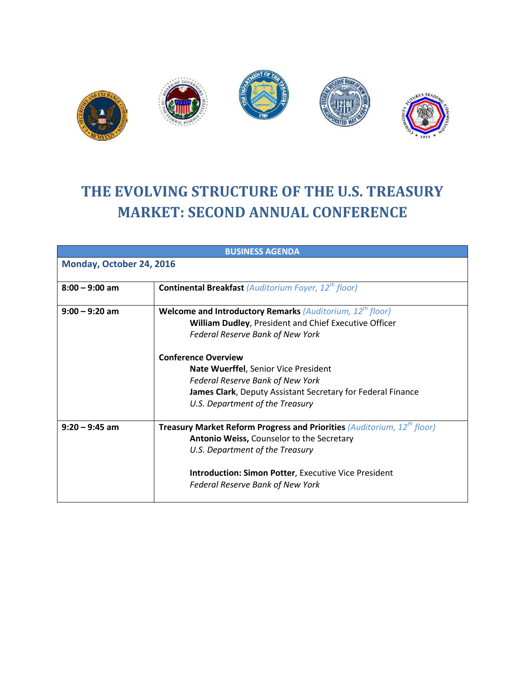

## **THE EVOLVING STRUCTURE OF THE U.S. TREASURY MARKET: SECOND ANNUAL CONFERENCE**

| <b>BUSINESS AGENDA</b>   |                                                                                           |  |  |  |
|--------------------------|-------------------------------------------------------------------------------------------|--|--|--|
| Monday, October 24, 2016 |                                                                                           |  |  |  |
|                          |                                                                                           |  |  |  |
| $8:00 - 9:00$ am         | <b>Continental Breakfast (Auditorium Foyer, 12<sup>th</sup> floor)</b>                    |  |  |  |
| $9:00 - 9:20$ am         | <b>Welcome and Introductory Remarks (Auditorium, 12<sup>th</sup> floor)</b>               |  |  |  |
|                          | William Dudley, President and Chief Executive Officer                                     |  |  |  |
|                          | <b>Federal Reserve Bank of New York</b>                                                   |  |  |  |
|                          | <b>Conference Overview</b>                                                                |  |  |  |
|                          | Nate Wuerffel, Senior Vice President                                                      |  |  |  |
|                          | <b>Federal Reserve Bank of New York</b>                                                   |  |  |  |
|                          | James Clark, Deputy Assistant Secretary for Federal Finance                               |  |  |  |
|                          | U.S. Department of the Treasury                                                           |  |  |  |
| $9:20 - 9:45$ am         | <b>Treasury Market Reform Progress and Priorities (Auditorium, 12<sup>th</sup> floor)</b> |  |  |  |
|                          | Antonio Weiss, Counselor to the Secretary                                                 |  |  |  |
|                          | U.S. Department of the Treasury                                                           |  |  |  |
|                          | <b>Introduction: Simon Potter, Executive Vice President</b>                               |  |  |  |
|                          | <b>Federal Reserve Bank of New York</b>                                                   |  |  |  |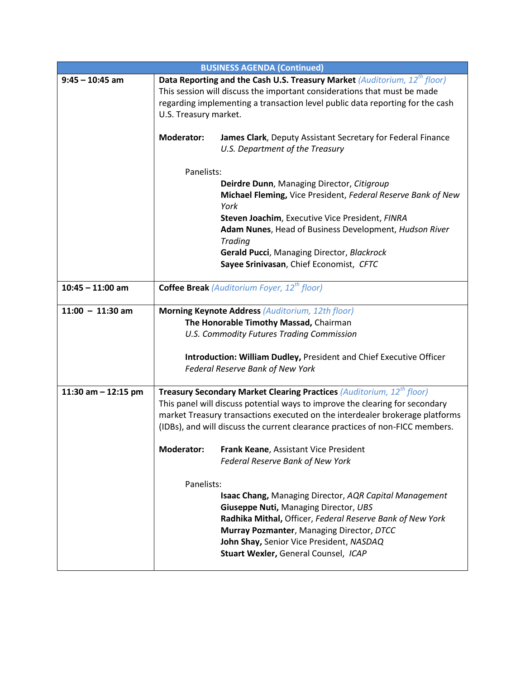| <b>BUSINESS AGENDA (Continued)</b> |                                                                                                                                                                                                                                                         |                                                                                       |  |  |  |
|------------------------------------|---------------------------------------------------------------------------------------------------------------------------------------------------------------------------------------------------------------------------------------------------------|---------------------------------------------------------------------------------------|--|--|--|
| $9:45 - 10:45$ am                  | Data Reporting and the Cash U.S. Treasury Market (Auditorium, 12 <sup>th</sup> floor)                                                                                                                                                                   |                                                                                       |  |  |  |
|                                    | This session will discuss the important considerations that must be made                                                                                                                                                                                |                                                                                       |  |  |  |
|                                    |                                                                                                                                                                                                                                                         | regarding implementing a transaction level public data reporting for the cash         |  |  |  |
|                                    | U.S. Treasury market.                                                                                                                                                                                                                                   |                                                                                       |  |  |  |
|                                    |                                                                                                                                                                                                                                                         |                                                                                       |  |  |  |
|                                    | <b>Moderator:</b>                                                                                                                                                                                                                                       | James Clark, Deputy Assistant Secretary for Federal Finance                           |  |  |  |
|                                    |                                                                                                                                                                                                                                                         | U.S. Department of the Treasury                                                       |  |  |  |
|                                    |                                                                                                                                                                                                                                                         |                                                                                       |  |  |  |
|                                    | Panelists:                                                                                                                                                                                                                                              |                                                                                       |  |  |  |
|                                    |                                                                                                                                                                                                                                                         | Deirdre Dunn, Managing Director, Citigroup                                            |  |  |  |
|                                    |                                                                                                                                                                                                                                                         | Michael Fleming, Vice President, Federal Reserve Bank of New                          |  |  |  |
|                                    |                                                                                                                                                                                                                                                         | York                                                                                  |  |  |  |
|                                    |                                                                                                                                                                                                                                                         | Steven Joachim, Executive Vice President, FINRA                                       |  |  |  |
|                                    |                                                                                                                                                                                                                                                         | Adam Nunes, Head of Business Development, Hudson River                                |  |  |  |
|                                    |                                                                                                                                                                                                                                                         | <b>Trading</b>                                                                        |  |  |  |
|                                    |                                                                                                                                                                                                                                                         | Gerald Pucci, Managing Director, Blackrock<br>Sayee Srinivasan, Chief Economist, CFTC |  |  |  |
|                                    |                                                                                                                                                                                                                                                         |                                                                                       |  |  |  |
| $10:45 - 11:00$ am                 |                                                                                                                                                                                                                                                         | <b>Coffee Break</b> (Auditorium Foyer, 12 <sup>th</sup> floor)                        |  |  |  |
|                                    |                                                                                                                                                                                                                                                         |                                                                                       |  |  |  |
| $11:00 - 11:30$ am                 |                                                                                                                                                                                                                                                         | <b>Morning Keynote Address (Auditorium, 12th floor)</b>                               |  |  |  |
|                                    |                                                                                                                                                                                                                                                         | The Honorable Timothy Massad, Chairman                                                |  |  |  |
|                                    |                                                                                                                                                                                                                                                         | U.S. Commodity Futures Trading Commission                                             |  |  |  |
|                                    |                                                                                                                                                                                                                                                         |                                                                                       |  |  |  |
|                                    |                                                                                                                                                                                                                                                         | Introduction: William Dudley, President and Chief Executive Officer                   |  |  |  |
|                                    |                                                                                                                                                                                                                                                         | Federal Reserve Bank of New York                                                      |  |  |  |
|                                    |                                                                                                                                                                                                                                                         |                                                                                       |  |  |  |
| 11:30 am $-$ 12:15 pm              | <b>Treasury Secondary Market Clearing Practices (Auditorium, 12<sup>th</sup> floor)</b><br>This panel will discuss potential ways to improve the clearing for secondary<br>market Treasury transactions executed on the interdealer brokerage platforms |                                                                                       |  |  |  |
|                                    |                                                                                                                                                                                                                                                         |                                                                                       |  |  |  |
|                                    |                                                                                                                                                                                                                                                         | (IDBs), and will discuss the current clearance practices of non-FICC members.         |  |  |  |
|                                    |                                                                                                                                                                                                                                                         |                                                                                       |  |  |  |
|                                    | <b>Moderator:</b>                                                                                                                                                                                                                                       | Frank Keane, Assistant Vice President                                                 |  |  |  |
|                                    |                                                                                                                                                                                                                                                         | <b>Federal Reserve Bank of New York</b>                                               |  |  |  |
|                                    |                                                                                                                                                                                                                                                         |                                                                                       |  |  |  |
|                                    | Panelists:                                                                                                                                                                                                                                              |                                                                                       |  |  |  |
|                                    |                                                                                                                                                                                                                                                         | <b>Isaac Chang, Managing Director, AQR Capital Management</b>                         |  |  |  |
|                                    |                                                                                                                                                                                                                                                         | Giuseppe Nuti, Managing Director, UBS                                                 |  |  |  |
|                                    |                                                                                                                                                                                                                                                         | Radhika Mithal, Officer, Federal Reserve Bank of New York                             |  |  |  |
|                                    |                                                                                                                                                                                                                                                         | Murray Pozmanter, Managing Director, DTCC                                             |  |  |  |
|                                    |                                                                                                                                                                                                                                                         | John Shay, Senior Vice President, NASDAQ                                              |  |  |  |
|                                    |                                                                                                                                                                                                                                                         | Stuart Wexler, General Counsel, ICAP                                                  |  |  |  |
|                                    |                                                                                                                                                                                                                                                         |                                                                                       |  |  |  |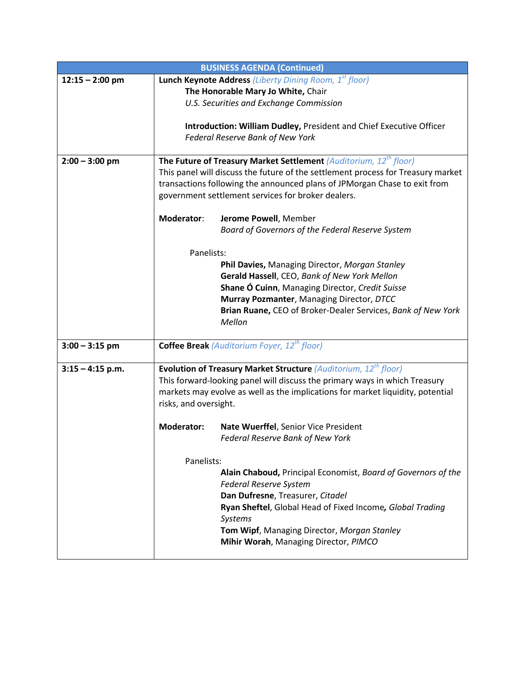| <b>BUSINESS AGENDA (Continued)</b> |                                                                                                                                                              |                                                                             |  |  |
|------------------------------------|--------------------------------------------------------------------------------------------------------------------------------------------------------------|-----------------------------------------------------------------------------|--|--|
| $12:15 - 2:00$ pm                  |                                                                                                                                                              | <b>Lunch Keynote Address (Liberty Dining Room, 1st floor)</b>               |  |  |
|                                    |                                                                                                                                                              | The Honorable Mary Jo White, Chair                                          |  |  |
|                                    |                                                                                                                                                              | U.S. Securities and Exchange Commission                                     |  |  |
|                                    |                                                                                                                                                              |                                                                             |  |  |
|                                    |                                                                                                                                                              | Introduction: William Dudley, President and Chief Executive Officer         |  |  |
|                                    |                                                                                                                                                              | Federal Reserve Bank of New York                                            |  |  |
|                                    |                                                                                                                                                              |                                                                             |  |  |
| $2:00 - 3:00$ pm                   |                                                                                                                                                              | The Future of Treasury Market Settlement (Auditorium, $12^{th}$ floor)      |  |  |
|                                    | This panel will discuss the future of the settlement process for Treasury market                                                                             |                                                                             |  |  |
|                                    | transactions following the announced plans of JPMorgan Chase to exit from                                                                                    |                                                                             |  |  |
|                                    | government settlement services for broker dealers.                                                                                                           |                                                                             |  |  |
|                                    |                                                                                                                                                              |                                                                             |  |  |
|                                    | Moderator:                                                                                                                                                   | Jerome Powell, Member                                                       |  |  |
|                                    |                                                                                                                                                              | Board of Governors of the Federal Reserve System                            |  |  |
|                                    |                                                                                                                                                              |                                                                             |  |  |
|                                    | Panelists:                                                                                                                                                   |                                                                             |  |  |
|                                    |                                                                                                                                                              | Phil Davies, Managing Director, Morgan Stanley                              |  |  |
|                                    |                                                                                                                                                              | Gerald Hassell, CEO, Bank of New York Mellon                                |  |  |
|                                    |                                                                                                                                                              | <b>Shane Ó Cuinn, Managing Director, Credit Suisse</b>                      |  |  |
|                                    |                                                                                                                                                              | Murray Pozmanter, Managing Director, DTCC                                   |  |  |
|                                    |                                                                                                                                                              | Brian Ruane, CEO of Broker-Dealer Services, Bank of New York                |  |  |
|                                    |                                                                                                                                                              | Mellon                                                                      |  |  |
|                                    |                                                                                                                                                              |                                                                             |  |  |
| $3:00 - 3:15$ pm                   |                                                                                                                                                              | <b>Coffee Break</b> (Auditorium Foyer, 12 <sup>th</sup> floor)              |  |  |
|                                    |                                                                                                                                                              |                                                                             |  |  |
| $3:15 - 4:15$ p.m.                 |                                                                                                                                                              | Evolution of Treasury Market Structure (Auditorium, 12 <sup>th</sup> floor) |  |  |
|                                    | This forward-looking panel will discuss the primary ways in which Treasury<br>markets may evolve as well as the implications for market liquidity, potential |                                                                             |  |  |
|                                    |                                                                                                                                                              |                                                                             |  |  |
|                                    | risks, and oversight.                                                                                                                                        |                                                                             |  |  |
|                                    |                                                                                                                                                              |                                                                             |  |  |
|                                    | <b>Moderator:</b>                                                                                                                                            | Nate Wuerffel, Senior Vice President                                        |  |  |
|                                    |                                                                                                                                                              | Federal Reserve Bank of New York                                            |  |  |
|                                    |                                                                                                                                                              |                                                                             |  |  |
|                                    | Panelists:                                                                                                                                                   |                                                                             |  |  |
|                                    |                                                                                                                                                              | Alain Chaboud, Principal Economist, Board of Governors of the               |  |  |
|                                    |                                                                                                                                                              | <b>Federal Reserve System</b>                                               |  |  |
|                                    |                                                                                                                                                              | Dan Dufresne, Treasurer, Citadel                                            |  |  |
|                                    |                                                                                                                                                              | Ryan Sheftel, Global Head of Fixed Income, Global Trading                   |  |  |
|                                    |                                                                                                                                                              | <b>Systems</b>                                                              |  |  |
|                                    |                                                                                                                                                              | Tom Wipf, Managing Director, Morgan Stanley                                 |  |  |
|                                    |                                                                                                                                                              | Mihir Worah, Managing Director, PIMCO                                       |  |  |
|                                    |                                                                                                                                                              |                                                                             |  |  |